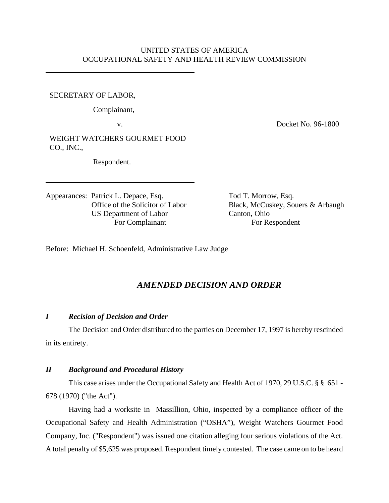## UNITED STATES OF AMERICA OCCUPATIONAL SAFETY AND HEALTH REVIEW COMMISSION

#### SECRETARY OF LABOR,

Complainant,

WEIGHT WATCHERS GOURMET FOOD CO., INC.,

Respondent.

Appearances: Patrick L. Depace, Esq. Tod T. Morrow, Esq. US Department of Labor Canton, Ohio For Complainant For Respondent

v. Docket No. 96-1800

Office of the Solicitor of Labor Black, McCuskey, Souers & Arbaugh

Before: Michael H. Schoenfeld, Administrative Law Judge

# *AMENDED DECISION AND ORDER*

#### *I Recision of Decision and Order*

The Decision and Order distributed to the parties on December 17, 1997 is hereby rescinded in its entirety.

#### *II Background and Procedural History*

This case arises under the Occupational Safety and Health Act of 1970, 29 U.S.C. § § 651 - 678 (1970) ("the Act").

Having had a worksite in Massillion, Ohio, inspected by a compliance officer of the Occupational Safety and Health Administration ("OSHA"), Weight Watchers Gourmet Food Company, Inc. ("Respondent") was issued one citation alleging four serious violations of the Act. A total penalty of \$5,625 was proposed. Respondent timely contested. The case came on to be heard